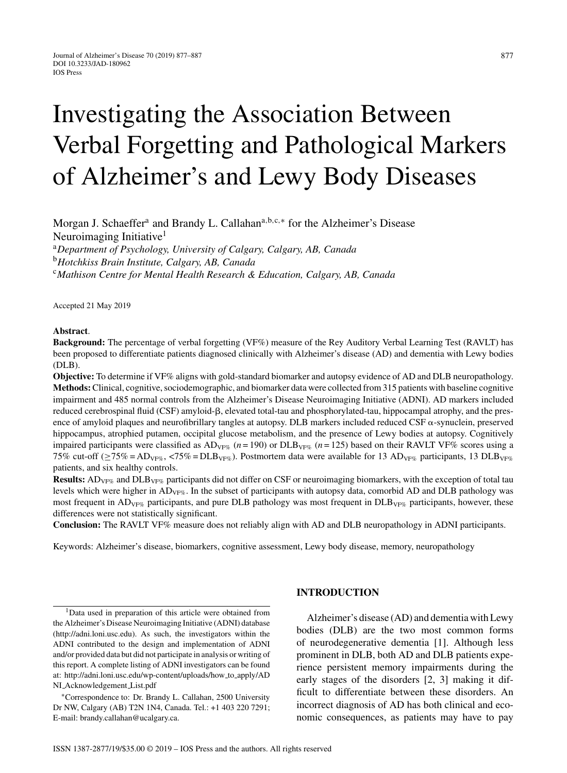# Investigating the Association Between Verbal Forgetting and Pathological Markers of Alzheimer's and Lewy Body Diseases

Morgan J. Schaeffer<sup>a</sup> and Brandy L. Callahan<sup>a, b, c,∗</sup> for the Alzheimer's Disease Neuroimaging Initiative<sup>1</sup> <sup>a</sup>*Department of Psychology, University of Calgary, Calgary, AB, Canada*

<sup>b</sup>*Hotchkiss Brain Institute, Calgary, AB, Canada*

<sup>c</sup>*Mathison Centre for Mental Health Research & Education, Calgary, AB, Canada*

Accepted 21 May 2019

#### **Abstract**.

**Background:** The percentage of verbal forgetting (VF%) measure of the Rey Auditory Verbal Learning Test (RAVLT) has been proposed to differentiate patients diagnosed clinically with Alzheimer's disease (AD) and dementia with Lewy bodies (DLB).

**Objective:** To determine if VF% aligns with gold-standard biomarker and autopsy evidence of AD and DLB neuropathology. **Methods:**Clinical, cognitive, sociodemographic, and biomarker data were collected from 315 patients with baseline cognitive impairment and 485 normal controls from the Alzheimer's Disease Neuroimaging Initiative (ADNI). AD markers included reduced cerebrospinal fluid (CSF) amyloid-β, elevated total-tau and phosphorylated-tau, hippocampal atrophy, and the presence of amyloid plaques and neurofibrillary tangles at autopsy. DLB markers included reduced CSF  $\alpha$ -synuclein, preserved hippocampus, atrophied putamen, occipital glucose metabolism, and the presence of Lewy bodies at autopsy. Cognitively impaired participants were classified as  $AD_{VFS}$  ( $n = 190$ ) or DLB<sub>VF%</sub> ( $n = 125$ ) based on their RAVLT VF% scores using a 75% cut-off ( $\geq$ 75% = AD<sub>VF%</sub>, <75% = DLB<sub>VF%</sub>). Postmortem data were available for 13 AD<sub>VF%</sub> participants, 13 DLB<sub>VF%</sub> patients, and six healthy controls.

**Results:** AD<sub>VF%</sub> and DLB<sub>VF%</sub> participants did not differ on CSF or neuroimaging biomarkers, with the exception of total tau levels which were higher in  $AD_{VFG}$ . In the subset of participants with autopsy data, comorbid AD and DLB pathology was most frequent in  $AD_{VFG}$  participants, and pure DLB pathology was most frequent in  $DLB_{VFG}$  participants, however, these differences were not statistically significant.

**Conclusion:** The RAVLT VF% measure does not reliably align with AD and DLB neuropathology in ADNI participants.

Keywords: Alzheimer's disease, biomarkers, cognitive assessment, Lewy body disease, memory, neuropathology

<sup>1</sup>Data used in preparation of this article were obtained from the Alzheimer's Disease Neuroimaging Initiative (ADNI) database ([http://adni.loni.usc.edu\)](http://adni.loni.usc.edu). As such, the investigators within the ADNI contributed to the design and implementation of ADNI and/or provided data but did not participate in analysis or writing of this report. A complete listing of ADNI investigators can be found at: [http://adni.loni.usc.edu/wp-content/uploads/how](http://adni.loni.usc.edu/wp-content/uploads/how_to_apply/ADNI_Acknowledgement_List.pdf) to apply/AD NI [Acknowledgement](http://adni.loni.usc.edu/wp-content/uploads/how_to_apply/ADNI_Acknowledgement_List.pdf) List.pdf

∗Correspondence to: Dr. Brandy L. Callahan, 2500 University Dr NW, Calgary (AB) T2N 1N4, Canada. Tel.: +1 403 220 7291; E-mail: [brandy.callahan@ucalgary.ca](mailto:brandy.callahan@ucalgary.ca).

## **INTRODUCTION**

Alzheimer's disease (AD) and dementia with Lewy bodies (DLB) are the two most common forms of neurodegenerative dementia [1]. Although less prominent in DLB, both AD and DLB patients experience persistent memory impairments during the early stages of the disorders [2, 3] making it difficult to differentiate between these disorders. An incorrect diagnosis of AD has both clinical and economic consequences, as patients may have to pay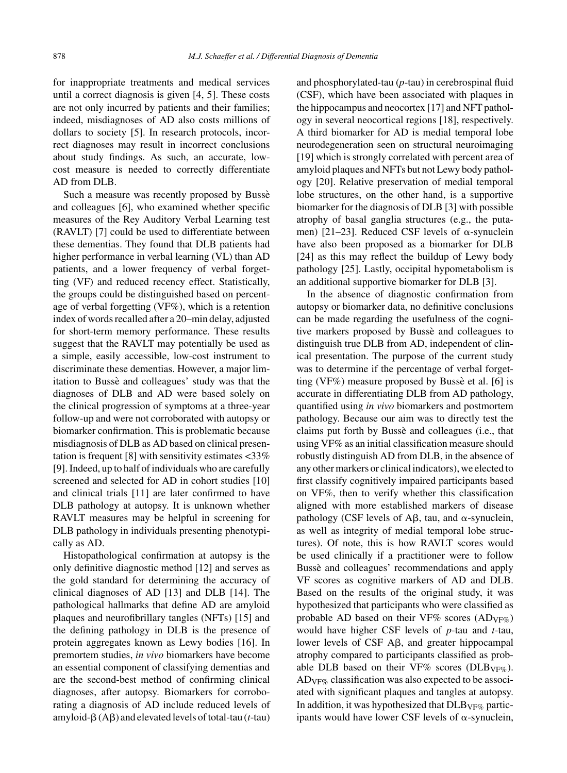for inappropriate treatments and medical services until a correct diagnosis is given [4, 5]. These costs are not only incurred by patients and their families; indeed, misdiagnoses of AD also costs millions of dollars to society [5]. In research protocols, incorrect diagnoses may result in incorrect conclusions about study findings. As such, an accurate, lowcost measure is needed to correctly differentiate AD from DLB.

Such a measure was recently proposed by Busse` and colleagues [6], who examined whether specific measures of the Rey Auditory Verbal Learning test (RAVLT) [7] could be used to differentiate between these dementias. They found that DLB patients had higher performance in verbal learning (VL) than AD patients, and a lower frequency of verbal forgetting (VF) and reduced recency effect. Statistically, the groups could be distinguished based on percentage of verbal forgetting (VF%), which is a retention index of words recalled after a 20–min delay, adjusted for short-term memory performance. These results suggest that the RAVLT may potentially be used as a simple, easily accessible, low-cost instrument to discriminate these dementias. However, a major limitation to Bussè and colleagues' study was that the diagnoses of DLB and AD were based solely on the clinical progression of symptoms at a three-year follow-up and were not corroborated with autopsy or biomarker confirmation. This is problematic because misdiagnosis of DLB as AD based on clinical presentation is frequent [8] with sensitivity estimates <33% [9]. Indeed, up to half of individuals who are carefully screened and selected for AD in cohort studies [10] and clinical trials [11] are later confirmed to have DLB pathology at autopsy. It is unknown whether RAVLT measures may be helpful in screening for DLB pathology in individuals presenting phenotypically as AD.

Histopathological confirmation at autopsy is the only definitive diagnostic method [12] and serves as the gold standard for determining the accuracy of clinical diagnoses of AD [13] and DLB [14]. The pathological hallmarks that define AD are amyloid plaques and neurofibrillary tangles (NFTs) [15] and the defining pathology in DLB is the presence of protein aggregates known as Lewy bodies [16]. In premortem studies, *in vivo* biomarkers have become an essential component of classifying dementias and are the second-best method of confirming clinical diagnoses, after autopsy. Biomarkers for corroborating a diagnosis of AD include reduced levels of amyloid- $\beta$  (A $\beta$ ) and elevated levels of total-tau (*t*-tau)

and phosphorylated-tau (*p*-tau) in cerebrospinal fluid (CSF), which have been associated with plaques in the hippocampus and neocortex [17] and NFT pathology in several neocortical regions [18], respectively. A third biomarker for AD is medial temporal lobe neurodegeneration seen on structural neuroimaging [19] which is strongly correlated with percent area of amyloid plaques and NFTs but not Lewy body pathology [20]. Relative preservation of medial temporal lobe structures, on the other hand, is a supportive biomarker for the diagnosis of DLB [3] with possible atrophy of basal ganglia structures (e.g., the putamen) [21–23]. Reduced CSF levels of  $\alpha$ -synuclein have also been proposed as a biomarker for DLB [24] as this may reflect the buildup of Lewy body pathology [25]. Lastly, occipital hypometabolism is an additional supportive biomarker for DLB [3].

In the absence of diagnostic confirmation from autopsy or biomarker data, no definitive conclusions can be made regarding the usefulness of the cognitive markers proposed by Bussè and colleagues to distinguish true DLB from AD, independent of clinical presentation. The purpose of the current study was to determine if the percentage of verbal forgetting (VF%) measure proposed by Busse et al. [6] is accurate in differentiating DLB from AD pathology, quantified using *in vivo* biomarkers and postmortem pathology. Because our aim was to directly test the claims put forth by Bussè and colleagues (i.e., that using VF% as an initial classification measure should robustly distinguish AD from DLB, in the absence of any other markers or clinical indicators), we elected to first classify cognitively impaired participants based on VF%, then to verify whether this classification aligned with more established markers of disease pathology (CSF levels of A $\beta$ , tau, and  $\alpha$ -synuclein, as well as integrity of medial temporal lobe structures). Of note, this is how RAVLT scores would be used clinically if a practitioner were to follow Bussè and colleagues' recommendations and apply VF scores as cognitive markers of AD and DLB. Based on the results of the original study, it was hypothesized that participants who were classified as probable AD based on their VF% scores (AD<sub>VF%</sub>) would have higher CSF levels of *p*-tau and *t*-tau, lower levels of  $CSF$  A $\beta$ , and greater hippocampal atrophy compared to participants classified as probable DLB based on their VF% scores (DLB<sub>VF%</sub>).  $AD_{VFG}$  classification was also expected to be associated with significant plaques and tangles at autopsy. In addition, it was hypothesized that  $DLB_{VF\%}$  participants would have lower CSF levels of  $\alpha$ -synuclein,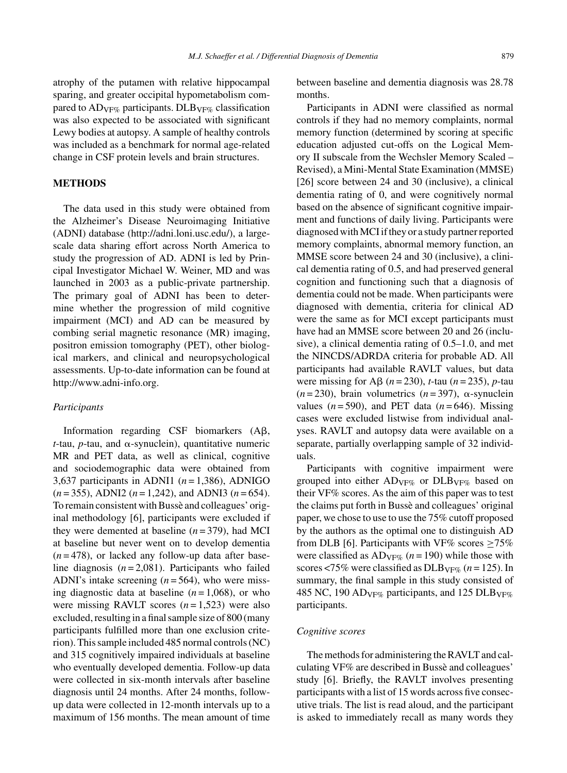atrophy of the putamen with relative hippocampal sparing, and greater occipital hypometabolism compared to  $AD_{VFG}$  participants. DLB<sub>VF%</sub> classification was also expected to be associated with significant Lewy bodies at autopsy. A sample of healthy controls was included as a benchmark for normal age-related change in CSF protein levels and brain structures.

## **METHODS**

The data used in this study were obtained from the Alzheimer's Disease Neuroimaging Initiative (ADNI) database (<http://adni.loni.usc.edu/>), a largescale data sharing effort across North America to study the progression of AD. ADNI is led by Principal Investigator Michael W. Weiner, MD and was launched in 2003 as a public-private partnership. The primary goal of ADNI has been to determine whether the progression of mild cognitive impairment (MCI) and AD can be measured by combing serial magnetic resonance (MR) imaging, positron emission tomography (PET), other biological markers, and clinical and neuropsychological assessments. Up-to-date information can be found at <http://www.adni-info.org>.

# *Participants*

Information regarding  $CSF$  biomarkers  $(A\beta,$  $t$ -tau,  $p$ -tau, and  $\alpha$ -synuclein), quantitative numeric MR and PET data, as well as clinical, cognitive and sociodemographic data were obtained from 3,637 participants in ADNI1  $(n=1,386)$ , ADNIGO (*n* = 355), ADNI2 (*n* = 1,242), and ADNI3 (*n* = 654). To remain consistent with Bussè and colleagues' original methodology [6], participants were excluded if they were demented at baseline  $(n=379)$ , had MCI at baseline but never went on to develop dementia  $(n=478)$ , or lacked any follow-up data after baseline diagnosis  $(n=2,081)$ . Participants who failed ADNI's intake screening (*n* = 564), who were missing diagnostic data at baseline  $(n=1,068)$ , or who were missing RAVLT scores  $(n=1,523)$  were also excluded, resulting in a final sample size of 800 (many participants fulfilled more than one exclusion criterion). This sample included 485 normal controls (NC) and 315 cognitively impaired individuals at baseline who eventually developed dementia. Follow-up data were collected in six-month intervals after baseline diagnosis until 24 months. After 24 months, followup data were collected in 12-month intervals up to a maximum of 156 months. The mean amount of time

between baseline and dementia diagnosis was 28.78 months.

Participants in ADNI were classified as normal controls if they had no memory complaints, normal memory function (determined by scoring at specific education adjusted cut-offs on the Logical Memory II subscale from the Wechsler Memory Scaled – Revised), a Mini-Mental State Examination (MMSE) [26] score between 24 and 30 (inclusive), a clinical dementia rating of 0, and were cognitively normal based on the absence of significant cognitive impairment and functions of daily living. Participants were diagnosed with MCI if they or a study partner reported memory complaints, abnormal memory function, an MMSE score between 24 and 30 (inclusive), a clinical dementia rating of 0.5, and had preserved general cognition and functioning such that a diagnosis of dementia could not be made. When participants were diagnosed with dementia, criteria for clinical AD were the same as for MCI except participants must have had an MMSE score between 20 and 26 (inclusive), a clinical dementia rating of 0.5–1.0, and met the NINCDS/ADRDA criteria for probable AD. All participants had available RAVLT values, but data were missing for A $\beta$  (*n* = 230), *t*-tau (*n* = 235), *p*-tau  $(n=230)$ , brain volumetrics  $(n=397)$ ,  $\alpha$ -synuclein values  $(n=590)$ , and PET data  $(n=646)$ . Missing cases were excluded listwise from individual analyses. RAVLT and autopsy data were available on a separate, partially overlapping sample of 32 individuals.

Participants with cognitive impairment were grouped into either  $AD_{VFG}$  or  $DLB_{VFG}$  based on their VF% scores. As the aim of this paper was to test the claims put forth in Bussè and colleagues' original paper, we chose to use to use the 75% cutoff proposed by the authors as the optimal one to distinguish AD from DLB [6]. Participants with VF% scores  $>75\%$ were classified as  $AD_{VFG}$  ( $n = 190$ ) while those with scores <75% were classified as  $DLB_{VF\%}(n=125)$ . In summary, the final sample in this study consisted of 485 NC, 190 AD<sub>VF%</sub> participants, and 125 DLB<sub>VF%</sub> participants.

## *Cognitive scores*

The methods for administering the RAVLT and calculating VF% are described in Busse and colleagues' ` study [6]. Briefly, the RAVLT involves presenting participants with a list of 15 words across five consecutive trials. The list is read aloud, and the participant is asked to immediately recall as many words they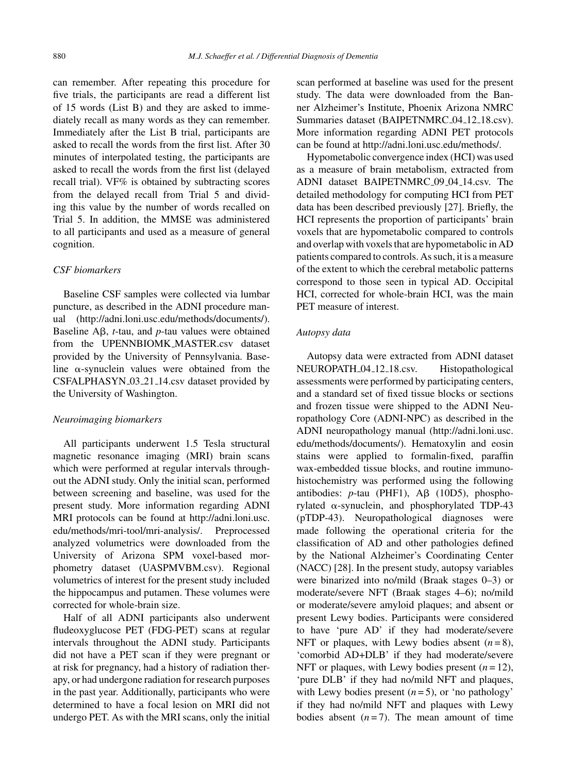can remember. After repeating this procedure for five trials, the participants are read a different list of 15 words (List B) and they are asked to immediately recall as many words as they can remember. Immediately after the List B trial, participants are asked to recall the words from the first list. After 30 minutes of interpolated testing, the participants are asked to recall the words from the first list (delayed recall trial). VF% is obtained by subtracting scores from the delayed recall from Trial 5 and dividing this value by the number of words recalled on Trial 5. In addition, the MMSE was administered to all participants and used as a measure of general cognition.

# *CSF biomarkers*

Baseline CSF samples were collected via lumbar puncture, as described in the ADNI procedure manual ([http://adni.loni.usc.edu/methods/documents/\)](http://adni.loni.usc.edu/methods/documents/). Baseline  $\mathsf{A}\mathsf{B}$ , *t*-tau, and *p*-tau values were obtained from the UPENNBIOMK MASTER.csv dataset provided by the University of Pennsylvania. Baseline  $\alpha$ -synuclein values were obtained from the CSFALPHASYN 03 21 14.csv dataset provided by the University of Washington.

### *Neuroimaging biomarkers*

All participants underwent 1.5 Tesla structural magnetic resonance imaging (MRI) brain scans which were performed at regular intervals throughout the ADNI study. Only the initial scan, performed between screening and baseline, was used for the present study. More information regarding ADNI MRI protocols can be found at [http://adni.loni.usc.](http://adni.loni.usc.edu/methods/mri-tool/mri-analysis/) [edu/methods/mri-tool/mri-analysis/](http://adni.loni.usc.edu/methods/mri-tool/mri-analysis/). Preprocessed analyzed volumetrics were downloaded from the University of Arizona SPM voxel-based morphometry dataset (UASPMVBM.csv). Regional volumetrics of interest for the present study included the hippocampus and putamen. These volumes were corrected for whole-brain size.

Half of all ADNI participants also underwent fludeoxyglucose PET (FDG-PET) scans at regular intervals throughout the ADNI study. Participants did not have a PET scan if they were pregnant or at risk for pregnancy, had a history of radiation therapy, or had undergone radiation for research purposes in the past year. Additionally, participants who were determined to have a focal lesion on MRI did not undergo PET. As with the MRI scans, only the initial

scan performed at baseline was used for the present study. The data were downloaded from the Banner Alzheimer's Institute, Phoenix Arizona NMRC Summaries dataset (BAIPETNMRC\_04\_12\_18.csv). More information regarding ADNI PET protocols can be found at<http://adni.loni.usc.edu/methods/>.

Hypometabolic convergence index (HCI) was used as a measure of brain metabolism, extracted from ADNI dataset BAIPETNMRC\_09\_04\_14.csv. The detailed methodology for computing HCI from PET data has been described previously [27]. Briefly, the HCI represents the proportion of participants' brain voxels that are hypometabolic compared to controls and overlap with voxels that are hypometabolic in AD patients compared to controls. As such, it is a measure of the extent to which the cerebral metabolic patterns correspond to those seen in typical AD. Occipital HCI, corrected for whole-brain HCI, was the main PET measure of interest.

## *Autopsy data*

Autopsy data were extracted from ADNI dataset NEUROPATH\_04\_12\_18.csv. Histopathological assessments were performed by participating centers, and a standard set of fixed tissue blocks or sections and frozen tissue were shipped to the ADNI Neuropathology Core (ADNI-NPC) as described in the ADNI neuropathology manual ([http://adni.loni.usc.](http://adni.loni.usc.edu/methods/documents/) [edu/methods/documents/](http://adni.loni.usc.edu/methods/documents/)). Hematoxylin and eosin stains were applied to formalin-fixed, paraffin wax-embedded tissue blocks, and routine immunohistochemistry was performed using the following antibodies:  $p$ -tau (PHF1),  $\overrightarrow{AB}$  (10D5), phosphorylated  $\alpha$ -synuclein, and phosphorylated TDP-43 (pTDP-43). Neuropathological diagnoses were made following the operational criteria for the classification of AD and other pathologies defined by the National Alzheimer's Coordinating Center (NACC) [28]. In the present study, autopsy variables were binarized into no/mild (Braak stages 0–3) or moderate/severe NFT (Braak stages 4–6); no/mild or moderate/severe amyloid plaques; and absent or present Lewy bodies. Participants were considered to have 'pure AD' if they had moderate/severe NFT or plaques, with Lewy bodies absent  $(n=8)$ , 'comorbid AD+DLB' if they had moderate/severe NFT or plaques, with Lewy bodies present  $(n = 12)$ , 'pure DLB' if they had no/mild NFT and plaques, with Lewy bodies present  $(n=5)$ , or 'no pathology' if they had no/mild NFT and plaques with Lewy bodies absent  $(n=7)$ . The mean amount of time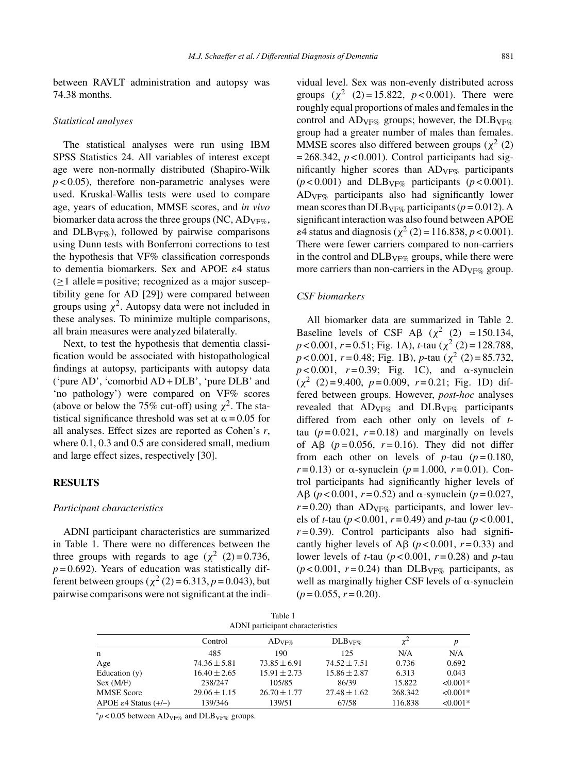between RAVLT administration and autopsy was 74.38 months.

#### *Statistical analyses*

The statistical analyses were run using IBM SPSS Statistics 24. All variables of interest except age were non-normally distributed (Shapiro-Wilk  $p < 0.05$ ), therefore non-parametric analyses were used. Kruskal-Wallis tests were used to compare age, years of education, MMSE scores, and *in vivo* biomarker data across the three groups (NC,  $AD_{VF\%}$ , and  $DLB_{VF\%}$ ), followed by pairwise comparisons using Dunn tests with Bonferroni corrections to test the hypothesis that VF% classification corresponds to dementia biomarkers. Sex and APOE  $\varepsilon$ 4 status  $(\geq 1$  allele = positive; recognized as a major susceptibility gene for AD [29]) were compared between groups using  $\chi^2$ . Autopsy data were not included in these analyses. To minimize multiple comparisons, all brain measures were analyzed bilaterally.

Next, to test the hypothesis that dementia classification would be associated with histopathological findings at autopsy, participants with autopsy data ('pure AD', 'comorbid AD + DLB', 'pure DLB' and 'no pathology') were compared on VF% scores (above or below the 75% cut-off) using  $\chi^2$ . The statistical significance threshold was set at  $\alpha$  = 0.05 for all analyses. Effect sizes are reported as Cohen's *r*, where 0.1, 0.3 and 0.5 are considered small, medium and large effect sizes, respectively [30].

#### **RESULTS**

## *Participant characteristics*

ADNI participant characteristics are summarized in Table 1. There were no differences between the three groups with regards to age ( $\chi^2$  (2) = 0.736,  $p = 0.692$ ). Years of education was statistically different between groups ( $\chi^2$  (2) = 6.313, *p* = 0.043), but pairwise comparisons were not significant at the individual level. Sex was non-evenly distributed across groups  $(x^2 (2) = 15.822, p < 0.001)$ . There were roughly equal proportions of males and females in the control and  $AD_{VF\%}$  groups; however, the  $DLB_{VF\%}$ group had a greater number of males than females. MMSE scores also differed between groups ( $\chi^2$  (2)  $= 268.342$ ,  $p < 0.001$ ). Control participants had significantly higher scores than  $AD_{VF\%}$  participants  $(p<0.001)$  and DLB<sub>VF%</sub> participants  $(p<0.001)$ . ADVF% participants also had significantly lower mean scores than DLB<sub>VF%</sub> participants ( $p = 0.012$ ). A significant interaction was also found between APOE  $\varepsilon$ 4 status and diagnosis ( $\chi^2$  (2) = 116.838, *p* < 0.001). There were fewer carriers compared to non-carriers in the control and  $DLB<sub>VF%</sub>$  groups, while there were more carriers than non-carriers in the  $AD_{VF\%}$  group.

## *CSF biomarkers*

All biomarker data are summarized in Table 2. Baseline levels of CSF A $\beta$  ( $\chi^2$  (2) = 150.134, *p* < 0.001, *r* = 0.51; Fig. 1A), *t*-tau (χ<sup>2</sup> (2) = 128.788,  $p < 0.001$ ,  $r = 0.48$ ; Fig. 1B),  $p$ -tau ( $\chi^2$  (2) = 85.732,  $p < 0.001$ ,  $r = 0.39$ ; Fig. 1C), and  $\alpha$ -synuclein  $(\chi^2 \ (2) = 9.400, \ p = 0.009, \ r = 0.21; \text{ Fig. 1D}) \text{ dif-}$ fered between groups. However, *post-hoc* analyses revealed that  $AD_{VF\%}$  and  $DLB_{VF\%}$  participants differed from each other only on levels of *t*tau  $(p=0.021, r=0.18)$  and marginally on levels of A $\beta$  ( $p = 0.056$ ,  $r = 0.16$ ). They did not differ from each other on levels of  $p$ -tau ( $p = 0.180$ ,  $r = 0.13$ ) or  $\alpha$ -synuclein ( $p = 1.000$ ,  $r = 0.01$ ). Control participants had significantly higher levels of A $\beta$  ( $p < 0.001$ ,  $r = 0.52$ ) and  $\alpha$ -synuclein ( $p = 0.027$ ,  $r = 0.20$ ) than AD<sub>VF%</sub> participants, and lower levels of *t*-tau (*p* < 0.001, *r* = 0.49) and *p*-tau (*p* < 0.001,  $r = 0.39$ ). Control participants also had significantly higher levels of A $\beta$  ( $p < 0.001$ ,  $r = 0.33$ ) and lower levels of *t*-tau (*p* < 0.001, *r* = 0.28) and *p*-tau  $(p<0.001, r=0.24)$  than DLB<sub>VF%</sub> participants, as well as marginally higher CSF levels of  $\alpha$ -synuclein  $(p=0.055, r=0.20).$ 

| Table 1                          |  |
|----------------------------------|--|
| ADNI participant characteristics |  |

|                                   | Control          | ADVFA            | DLB <sub>VF%</sub> |         | p          |  |  |  |
|-----------------------------------|------------------|------------------|--------------------|---------|------------|--|--|--|
| n                                 | 485              | 190              | 125                | N/A     | N/A        |  |  |  |
| Age                               | $74.36 \pm 5.81$ | $73.85 \pm 6.91$ | $74.52 \pm 7.51$   | 0.736   | 0.692      |  |  |  |
| Education $(y)$                   | $16.40 \pm 2.65$ | $15.91 \pm 2.73$ | $15.86 \pm 2.87$   | 6.313   | 0.043      |  |  |  |
| Sex (M/F)                         | 238/247          | 105/85           | 86/39              | 15.822  | $< 0.001*$ |  |  |  |
| <b>MMSE</b> Score                 | $29.06 \pm 1.15$ | $26.70 \pm 1.77$ | $27.48 \pm 1.62$   | 268.342 | $< 0.001*$ |  |  |  |
| APOE $\varepsilon$ 4 Status (+/-) | 139/346          | 139/51           | 67/58              | 116.838 | $< 0.001*$ |  |  |  |

 $<sup>*</sup>p < 0.05$  between AD<sub>VF%</sub> and DLB<sub>VF%</sub> groups.</sup>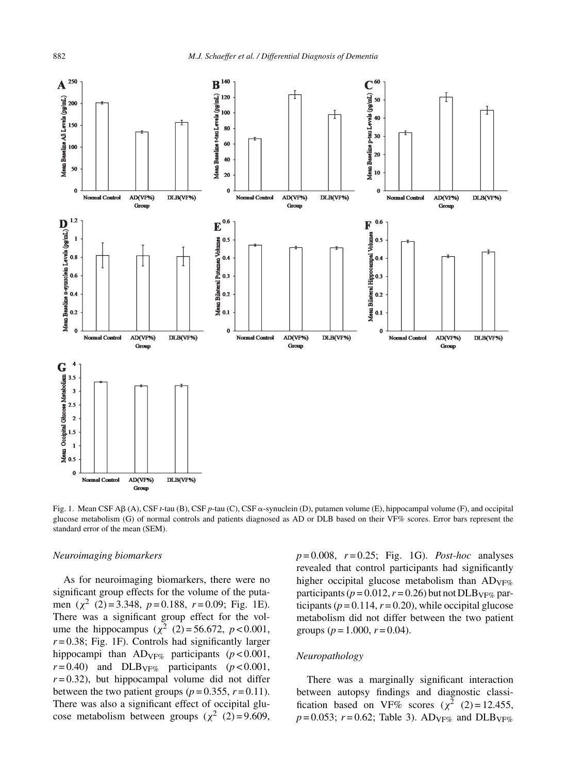

Fig. 1. Mean CSF AB (A), CSF *t*-tau (B), CSF *p*-tau (C), CSF  $\alpha$ -synuclein (D), putamen volume (E), hippocampal volume (F), and occipital glucose metabolism (G) of normal controls and patients diagnosed as AD or DLB based on their VF% scores. Error bars represent the standard error of the mean (SEM).

#### *Neuroimaging biomarkers*

As for neuroimaging biomarkers, there were no significant group effects for the volume of the putamen (χ<sup>2</sup> (2) = 3.348, *p* = 0.188, *r* = 0.09; Fig. 1E). There was a significant group effect for the volume the hippocampus ( $\chi^2$  (2) = 56.672, *p* < 0.001,  $r = 0.38$ ; Fig. 1F). Controls had significantly larger hippocampi than ADVF% participants (*p* < 0.001,  $r = 0.40$ ) and DLB<sub>VF%</sub> participants ( $p < 0.001$ ,  $r = 0.32$ ), but hippocampal volume did not differ between the two patient groups ( $p = 0.355$ ,  $r = 0.11$ ). There was also a significant effect of occipital glucose metabolism between groups  $(\chi^2 \ (2) = 9.609)$ ,

*p* = 0.008, *r* = 0.25; Fig. 1G). *Post-hoc* analyses revealed that control participants had significantly higher occipital glucose metabolism than  $AD_{VF\%}$ participants ( $p = 0.012$ ,  $r = 0.26$ ) but not DLB<sub>VF%</sub> participants ( $p = 0.114$ ,  $r = 0.20$ ), while occipital glucose metabolism did not differ between the two patient groups ( $p = 1.000$ ,  $r = 0.04$ ).

## *Neuropathology*

There was a marginally significant interaction between autopsy findings and diagnostic classification based on VF% scores  $(\chi^2 \ (2) = 12.455)$ ,  $p = 0.053$ ;  $r = 0.62$ ; Table 3). AD<sub>VF%</sub> and DLB<sub>VF%</sub>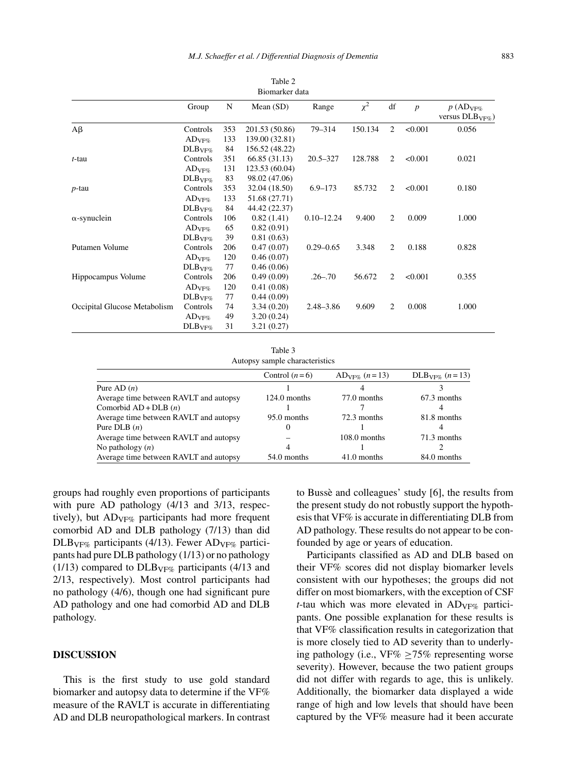| 10010L<br>Biomarker data     |                             |     |                |                |          |    |                  |                                       |
|------------------------------|-----------------------------|-----|----------------|----------------|----------|----|------------------|---------------------------------------|
|                              | Group                       | N   | Mean $(SD)$    | Range          | $\chi^2$ | df | $\boldsymbol{p}$ | $p(AD_{VF\%})$<br>versus $DLB_{VF\%}$ |
| $A\beta$                     | Controls                    | 353 | 201.53 (50.86) | 79-314         | 150.134  | 2  | < 0.001          | 0.056                                 |
|                              | $AD_{VF\%}$                 | 133 | 139.00 (32.81) |                |          |    |                  |                                       |
|                              | DLB <sub>VF%</sub>          | 84  | 156.52 (48.22) |                |          |    |                  |                                       |
| $t$ -tau                     | Controls                    | 351 | 66.85 (31.13)  | $20.5 - 327$   | 128.788  | 2  | < 0.001          | 0.021                                 |
|                              | $\mathrm{AD}_\mathrm{VF\%}$ | 131 | 123.53 (60.04) |                |          |    |                  |                                       |
|                              | DLB <sub>VF%</sub>          | 83  | 98.02 (47.06)  |                |          |    |                  |                                       |
| $p$ -tau                     | Controls                    | 353 | 32.04 (18.50)  | $6.9 - 173$    | 85.732   | 2  | < 0.001          | 0.180                                 |
|                              | $AD_{VF\%}$                 | 133 | 51.68 (27.71)  |                |          |    |                  |                                       |
|                              | DLB <sub>VF%</sub>          | 84  | 44.42 (22.37)  |                |          |    |                  |                                       |
| $\alpha$ -synuclein          | Controls                    | 106 | 0.82(1.41)     | $0.10 - 12.24$ | 9.400    | 2  | 0.009            | 1.000                                 |
|                              | $AD_{VF\%}$                 | 65  | 0.82(0.91)     |                |          |    |                  |                                       |
|                              | DLB <sub>VF%</sub>          | 39  | 0.81(0.63)     |                |          |    |                  |                                       |
| Putamen Volume               | Controls                    | 206 | 0.47(0.07)     | $0.29 - 0.65$  | 3.348    | 2  | 0.188            | 0.828                                 |
|                              | $AD_{VF\%}$                 | 120 | 0.46(0.07)     |                |          |    |                  |                                       |
|                              | DLB <sub>VF%</sub>          | 77  | 0.46(0.06)     |                |          |    |                  |                                       |
| Hippocampus Volume           | Controls                    | 206 | 0.49(0.09)     | $.26 - .70$    | 56.672   | 2  | < 0.001          | 0.355                                 |
|                              | $AD_{VF\%}$                 | 120 | 0.41(0.08)     |                |          |    |                  |                                       |
|                              | DLB <sub>VF%</sub>          | 77  | 0.44(0.09)     |                |          |    |                  |                                       |
| Occipital Glucose Metabolism | Controls                    | 74  | 3.34(0.20)     | $2.48 - 3.86$  | 9.609    | 2  | 0.008            | 1.000                                 |
|                              | $AD_{VF\%}$                 | 49  | 3.20(0.24)     |                |          |    |                  |                                       |
|                              | DLB <sub>VF%</sub>          | 31  | 3.21(0.27)     |                |          |    |                  |                                       |

Table 2

Table 3 Autopsy sample characteristics

|                                        | Control $(n=6)$ | $AD_{VFG} (n=13)$ | $\text{DLB}_{\text{VFG}}$ $(n=13)$ |
|----------------------------------------|-----------------|-------------------|------------------------------------|
| Pure AD $(n)$                          |                 |                   |                                    |
| Average time between RAVLT and autopsy | $124.0$ months  | 77.0 months       | 67.3 months                        |
| Comorbid $AD + DLB(n)$                 |                 |                   |                                    |
| Average time between RAVLT and autopsy | 95.0 months     | 72.3 months       | 81.8 months                        |
| Pure DLB $(n)$                         |                 |                   |                                    |
| Average time between RAVLT and autopsy |                 | $108.0$ months    | 71.3 months                        |
| No pathology $(n)$                     |                 |                   |                                    |
| Average time between RAVLT and autopsy | 54.0 months     | 41.0 months       | 84.0 months                        |

groups had roughly even proportions of participants with pure AD pathology (4/13 and 3/13, respectively), but  $AD_{VFG}$  participants had more frequent comorbid AD and DLB pathology (7/13) than did  $DLB_{VF\%}$  participants (4/13). Fewer AD<sub>VF%</sub> participants had pure DLB pathology (1/13) or no pathology (1/13) compared to  $DLB_{VF\%}$  participants (4/13 and 2/13, respectively). Most control participants had no pathology (4/6), though one had significant pure AD pathology and one had comorbid AD and DLB pathology.

# **DISCUSSION**

This is the first study to use gold standard biomarker and autopsy data to determine if the VF% measure of the RAVLT is accurate in differentiating AD and DLB neuropathological markers. In contrast to Bussè and colleagues' study [6], the results from the present study do not robustly support the hypothesis that VF% is accurate in differentiating DLB from AD pathology. These results do not appear to be confounded by age or years of education.

Participants classified as AD and DLB based on their VF% scores did not display biomarker levels consistent with our hypotheses; the groups did not differ on most biomarkers, with the exception of CSF *t*-tau which was more elevated in  $AD_{VF\%}$  participants. One possible explanation for these results is that VF% classification results in categorization that is more closely tied to AD severity than to underlying pathology (i.e., VF%  $\geq$ 75% representing worse severity). However, because the two patient groups did not differ with regards to age, this is unlikely. Additionally, the biomarker data displayed a wide range of high and low levels that should have been captured by the VF% measure had it been accurate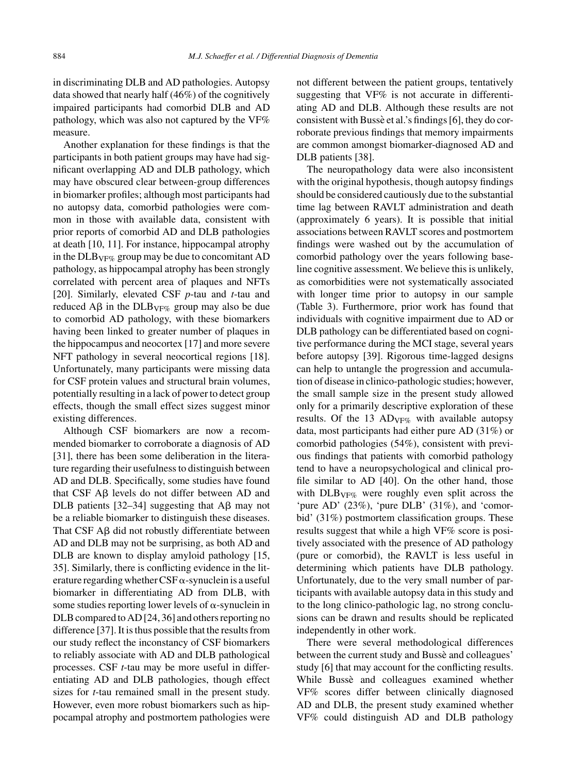in discriminating DLB and AD pathologies. Autopsy data showed that nearly half (46%) of the cognitively impaired participants had comorbid DLB and AD pathology, which was also not captured by the VF% measure.

Another explanation for these findings is that the participants in both patient groups may have had significant overlapping AD and DLB pathology, which may have obscured clear between-group differences in biomarker profiles; although most participants had no autopsy data, comorbid pathologies were common in those with available data, consistent with prior reports of comorbid AD and DLB pathologies at death [10, 11]. For instance, hippocampal atrophy in the  $DLB<sub>VF%</sub>$  group may be due to concomitant AD pathology, as hippocampal atrophy has been strongly correlated with percent area of plaques and NFTs [20]. Similarly, elevated CSF *p*-tau and *t*-tau and reduced A $\beta$  in the DLB<sub>VF%</sub> group may also be due to comorbid AD pathology, with these biomarkers having been linked to greater number of plaques in the hippocampus and neocortex [17] and more severe NFT pathology in several neocortical regions [18]. Unfortunately, many participants were missing data for CSF protein values and structural brain volumes, potentially resulting in a lack of power to detect group effects, though the small effect sizes suggest minor existing differences.

Although CSF biomarkers are now a recommended biomarker to corroborate a diagnosis of AD [31], there has been some deliberation in the literature regarding their usefulness to distinguish between AD and DLB. Specifically, some studies have found that CSF  $\mathbf{A}\mathbf{\beta}$  levels do not differ between  $\mathbf{A}\mathbf{D}$  and DLB patients [32-34] suggesting that  $\overrightarrow{AB}$  may not be a reliable biomarker to distinguish these diseases. That CSF  $\text{A}\beta$  did not robustly differentiate between AD and DLB may not be surprising, as both AD and DLB are known to display amyloid pathology [15, 35]. Similarly, there is conflicting evidence in the literature regarding whether CSF $\alpha$ -synuclein is a useful biomarker in differentiating AD from DLB, with some studies reporting lower levels of  $\alpha$ -synuclein in DLB compared to AD [24, 36] and others reporting no difference [37]. It is thus possible that the results from our study reflect the inconstancy of CSF biomarkers to reliably associate with AD and DLB pathological processes. CSF *t*-tau may be more useful in differentiating AD and DLB pathologies, though effect sizes for *t*-tau remained small in the present study. However, even more robust biomarkers such as hippocampal atrophy and postmortem pathologies were

not different between the patient groups, tentatively suggesting that VF% is not accurate in differentiating AD and DLB. Although these results are not consistent with Busse et al.'s findings [6], they do corroborate previous findings that memory impairments are common amongst biomarker-diagnosed AD and DLB patients [38].

The neuropathology data were also inconsistent with the original hypothesis, though autopsy findings should be considered cautiously due to the substantial time lag between RAVLT administration and death (approximately 6 years). It is possible that initial associations between RAVLT scores and postmortem findings were washed out by the accumulation of comorbid pathology over the years following baseline cognitive assessment. We believe this is unlikely, as comorbidities were not systematically associated with longer time prior to autopsy in our sample (Table 3). Furthermore, prior work has found that individuals with cognitive impairment due to AD or DLB pathology can be differentiated based on cognitive performance during the MCI stage, several years before autopsy [39]. Rigorous time-lagged designs can help to untangle the progression and accumulation of disease in clinico-pathologic studies; however, the small sample size in the present study allowed only for a primarily descriptive exploration of these results. Of the 13  $AD_{VF\%}$  with available autopsy data, most participants had either pure AD (31%) or comorbid pathologies (54%), consistent with previous findings that patients with comorbid pathology tend to have a neuropsychological and clinical profile similar to AD [40]. On the other hand, those with DLB<sub>VF%</sub> were roughly even split across the 'pure AD' (23%), 'pure DLB' (31%), and 'comorbid' (31%) postmortem classification groups. These results suggest that while a high VF% score is positively associated with the presence of AD pathology (pure or comorbid), the RAVLT is less useful in determining which patients have DLB pathology. Unfortunately, due to the very small number of participants with available autopsy data in this study and to the long clinico-pathologic lag, no strong conclusions can be drawn and results should be replicated independently in other work.

There were several methodological differences between the current study and Bussè and colleagues' study [6] that may account for the conflicting results. While Busse and colleagues examined whether VF% scores differ between clinically diagnosed AD and DLB, the present study examined whether VF% could distinguish AD and DLB pathology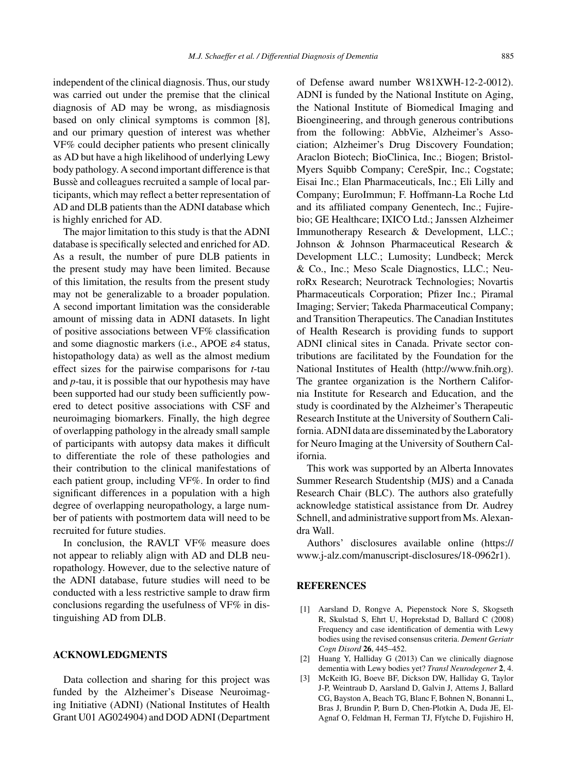independent of the clinical diagnosis. Thus, our study was carried out under the premise that the clinical diagnosis of AD may be wrong, as misdiagnosis based on only clinical symptoms is common [8], and our primary question of interest was whether VF% could decipher patients who present clinically as AD but have a high likelihood of underlying Lewy body pathology. A second important difference is that Bussè and colleagues recruited a sample of local participants, which may reflect a better representation of AD and DLB patients than the ADNI database which is highly enriched for AD.

The major limitation to this study is that the ADNI database is specifically selected and enriched for AD. As a result, the number of pure DLB patients in the present study may have been limited. Because of this limitation, the results from the present study may not be generalizable to a broader population. A second important limitation was the considerable amount of missing data in ADNI datasets. In light of positive associations between VF% classification and some diagnostic markers (i.e., APOE  $\varepsilon$ 4 status, histopathology data) as well as the almost medium effect sizes for the pairwise comparisons for *t*-tau and *p*-tau, it is possible that our hypothesis may have been supported had our study been sufficiently powered to detect positive associations with CSF and neuroimaging biomarkers. Finally, the high degree of overlapping pathology in the already small sample of participants with autopsy data makes it difficult to differentiate the role of these pathologies and their contribution to the clinical manifestations of each patient group, including VF%. In order to find significant differences in a population with a high degree of overlapping neuropathology, a large number of patients with postmortem data will need to be recruited for future studies.

In conclusion, the RAVLT VF% measure does not appear to reliably align with AD and DLB neuropathology. However, due to the selective nature of the ADNI database, future studies will need to be conducted with a less restrictive sample to draw firm conclusions regarding the usefulness of VF% in distinguishing AD from DLB.

# **ACKNOWLEDGMENTS**

Data collection and sharing for this project was funded by the Alzheimer's Disease Neuroimaging Initiative (ADNI) (National Institutes of Health Grant U01 AG024904) and DOD ADNI (Department of Defense award number W81XWH-12-2-0012). ADNI is funded by the National Institute on Aging, the National Institute of Biomedical Imaging and Bioengineering, and through generous contributions from the following: AbbVie, Alzheimer's Association; Alzheimer's Drug Discovery Foundation; Araclon Biotech; BioClinica, Inc.; Biogen; Bristol-Myers Squibb Company; CereSpir, Inc.; Cogstate; Eisai Inc.; Elan Pharmaceuticals, Inc.; Eli Lilly and Company; EuroImmun; F. Hoffmann-La Roche Ltd and its affiliated company Genentech, Inc.; Fujirebio; GE Healthcare; IXICO Ltd.; Janssen Alzheimer Immunotherapy Research & Development, LLC.; Johnson & Johnson Pharmaceutical Research & Development LLC.; Lumosity; Lundbeck; Merck & Co., Inc.; Meso Scale Diagnostics, LLC.; NeuroRx Research; Neurotrack Technologies; Novartis Pharmaceuticals Corporation; Pfizer Inc.; Piramal Imaging; Servier; Takeda Pharmaceutical Company; and Transition Therapeutics. The Canadian Institutes of Health Research is providing funds to support ADNI clinical sites in Canada. Private sector contributions are facilitated by the Foundation for the National Institutes of Health [\(http://www.fnih.org](http://www.fnih.org)). The grantee organization is the Northern California Institute for Research and Education, and the study is coordinated by the Alzheimer's Therapeutic Research Institute at the University of Southern California. ADNI data are disseminated by the Laboratory for Neuro Imaging at the University of Southern California.

This work was supported by an Alberta Innovates Summer Research Studentship (MJS) and a Canada Research Chair (BLC). The authors also gratefully acknowledge statistical assistance from Dr. Audrey Schnell, and administrative support from Ms. Alexandra Wall.

Authors' disclosures available online (https:// www.j-alz.com/manuscript-disclosures/18-0962r1).

# **REFERENCES**

- [1] Aarsland D, Rongve A, Piepenstock Nore S, Skogseth R, Skulstad S, Ehrt U, Hoprekstad D, Ballard C (2008) Frequency and case identification of dementia with Lewy bodies using the revised consensus criteria. *Dement Geriatr Cogn Disord* **26**, 445–452.
- [2] Huang Y, Halliday G (2013) Can we clinically diagnose dementia with Lewy bodies yet? *Transl Neurodegener* **2**, 4.
- [3] McKeith IG, Boeve BF, Dickson DW, Halliday G, Taylor J-P, Weintraub D, Aarsland D, Galvin J, Attems J, Ballard CG, Bayston A, Beach TG, Blanc F, Bohnen N, Bonanni L, Bras J, Brundin P, Burn D, Chen-Plotkin A, Duda JE, El-Agnaf O, Feldman H, Ferman TJ, Ffytche D, Fujishiro H,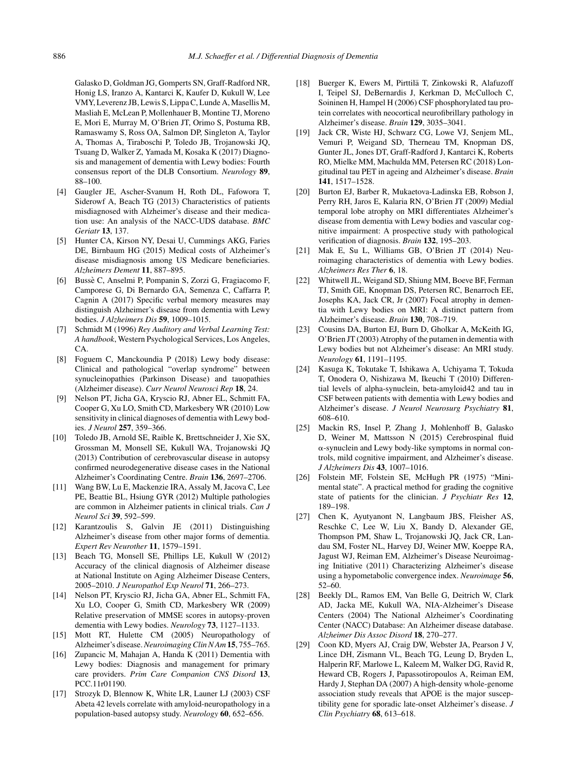Galasko D, Goldman JG, Gomperts SN, Graff-Radford NR, Honig LS, Iranzo A, Kantarci K, Kaufer D, Kukull W, Lee VMY, Leverenz JB, Lewis S, Lippa C, Lunde A, Masellis M, Masliah E, McLean P, Mollenhauer B, Montine TJ, Moreno E, Mori E, Murray M, O'Brien JT, Orimo S, Postuma RB, Ramaswamy S, Ross OA, Salmon DP, Singleton A, Taylor A, Thomas A, Tiraboschi P, Toledo JB, Trojanowski JQ, Tsuang D, Walker Z, Yamada M, Kosaka K (2017) Diagnosis and management of dementia with Lewy bodies: Fourth consensus report of the DLB Consortium. *Neurology* **89**, 88–100.

- [4] Gaugler JE, Ascher-Svanum H, Roth DL, Fafowora T, Siderowf A, Beach TG (2013) Characteristics of patients misdiagnosed with Alzheimer's disease and their medication use: An analysis of the NACC-UDS database. *BMC Geriatr* **13**, 137.
- [5] Hunter CA, Kirson NY, Desai U, Cummings AKG, Faries DE, Birnbaum HG (2015) Medical costs of Alzheimer's disease misdiagnosis among US Medicare beneficiaries. *Alzheimers Dement* **11**, 887–895.
- [6] Busse C, Anselmi P, Pompanin S, Zorzi G, Fragiacomo F, ` Camporese G, Di Bernardo GA, Semenza C, Caffarra P, Cagnin A (2017) Specific verbal memory measures may distinguish Alzheimer's disease from dementia with Lewy bodies. *J Alzheimers Dis* **59**, 1009–1015.
- [7] Schmidt M (1996) *Rey Auditory and Verbal Learning Test: A handbook*, Western Psychological Services, Los Angeles,  $\Gamma$ A
- [8] Foguem C, Manckoundia P (2018) Lewy body disease: Clinical and pathological "overlap syndrome" between synucleinopathies (Parkinson Disease) and tauopathies (Alzheimer disease). *Curr Neurol Neurosci Rep* **18**, 24.
- [9] Nelson PT, Jicha GA, Kryscio RJ, Abner EL, Schmitt FA, Cooper G, Xu LO, Smith CD, Markesbery WR (2010) Low sensitivity in clinical diagnoses of dementia with Lewy bodies. *J Neurol* **257**, 359–366.
- [10] Toledo JB, Arnold SE, Raible K, Brettschneider J, Xie SX, Grossman M, Monsell SE, Kukull WA, Trojanowski JQ (2013) Contribution of cerebrovascular disease in autopsy confirmed neurodegenerative disease cases in the National Alzheimer's Coordinating Centre. *Brain* **136**, 2697–2706.
- [11] Wang BW, Lu E, Mackenzie IRA, Assaly M, Jacova C, Lee PE, Beattie BL, Hsiung GYR (2012) Multiple pathologies are common in Alzheimer patients in clinical trials. *Can J Neurol Sci* **39**, 592–599.
- [12] Karantzoulis S, Galvin JE (2011) Distinguishing Alzheimer's disease from other major forms of dementia. *Expert Rev Neurother* **11**, 1579–1591.
- [13] Beach TG, Monsell SE, Phillips LE, Kukull W (2012) Accuracy of the clinical diagnosis of Alzheimer disease at National Institute on Aging Alzheimer Disease Centers, 2005–2010. *J Neuropathol Exp Neurol* **71**, 266–273.
- [14] Nelson PT, Kryscio RJ, Jicha GA, Abner EL, Schmitt FA, Xu LO, Cooper G, Smith CD, Markesbery WR (2009) Relative preservation of MMSE scores in autopsy-proven dementia with Lewy bodies. *Neurology* **73**, 1127–1133.
- [15] Mott RT, Hulette CM (2005) Neuropathology of Alzheimer's disease.*Neuroimaging Clin N Am* **15**, 755–765.
- [16] Zupancic M, Mahajan A, Handa K (2011) Dementia with Lewy bodies: Diagnosis and management for primary care providers. *Prim Care Companion CNS Disord* **13**, PCC.11r01190.
- [17] Strozyk D, Blennow K, White LR, Launer LJ (2003) CSF Abeta 42 levels correlate with amyloid-neuropathology in a population-based autopsy study. *Neurology* **60**, 652–656.
- [18] Buerger K, Ewers M, Pirttilä T, Zinkowski R, Alafuzoff I, Teipel SJ, DeBernardis J, Kerkman D, McCulloch C, Soininen H, Hampel H (2006) CSF phosphorylated tau protein correlates with neocortical neurofibrillary pathology in Alzheimer's disease. *Brain* **129**, 3035–3041.
- [19] Jack CR, Wiste HJ, Schwarz CG, Lowe VJ, Senjem ML, Vemuri P, Weigand SD, Therneau TM, Knopman DS, Gunter JL, Jones DT, Graff-Radford J, Kantarci K, Roberts RO, Mielke MM, Machulda MM, Petersen RC (2018) Longitudinal tau PET in ageing and Alzheimer's disease. *Brain* **141**, 1517–1528.
- [20] Burton EJ, Barber R, Mukaetova-Ladinska EB, Robson J, Perry RH, Jaros E, Kalaria RN, O'Brien JT (2009) Medial temporal lobe atrophy on MRI differentiates Alzheimer's disease from dementia with Lewy bodies and vascular cognitive impairment: A prospective study with pathological verification of diagnosis. *Brain* **132**, 195–203.
- [21] Mak E, Su L, Williams GB, O'Brien JT (2014) Neuroimaging characteristics of dementia with Lewy bodies. *Alzheimers Res Ther* **6**, 18.
- [22] Whitwell JL, Weigand SD, Shiung MM, Boeve BF, Ferman TJ, Smith GE, Knopman DS, Petersen RC, Benarroch EE, Josephs KA, Jack CR, Jr (2007) Focal atrophy in dementia with Lewy bodies on MRI: A distinct pattern from Alzheimer's disease. *Brain* **130**, 708–719.
- [23] Cousins DA, Burton EJ, Burn D, Gholkar A, McKeith IG, O'Brien JT (2003) Atrophy of the putamen in dementia with Lewy bodies but not Alzheimer's disease: An MRI study. *Neurology* **61**, 1191–1195.
- [24] Kasuga K, Tokutake T, Ishikawa A, Uchiyama T, Tokuda T, Onodera O, Nishizawa M, Ikeuchi T (2010) Differential levels of alpha-synuclein, beta-amyloid42 and tau in CSF between patients with dementia with Lewy bodies and Alzheimer's disease. *J Neurol Neurosurg Psychiatry* **81**, 608–610.
- [25] Mackin RS, Insel P, Zhang J, Mohlenhoff B, Galasko D, Weiner M, Mattsson N (2015) Cerebrospinal fluid  $\alpha$ -synuclein and Lewy body-like symptoms in normal controls, mild cognitive impairment, and Alzheimer's disease. *J Alzheimers Dis* **43**, 1007–1016.
- [26] Folstein MF, Folstein SE, McHugh PR (1975) "Minimental state". A practical method for grading the cognitive state of patients for the clinician. *J Psychiatr Res* **12**, 189–198.
- [27] Chen K, Ayutyanont N, Langbaum JBS, Fleisher AS, Reschke C, Lee W, Liu X, Bandy D, Alexander GE, Thompson PM, Shaw L, Trojanowski JQ, Jack CR, Landau SM, Foster NL, Harvey DJ, Weiner MW, Koeppe RA, Jagust WJ, Reiman EM, Alzheimer's Disease Neuroimaging Initiative (2011) Characterizing Alzheimer's disease using a hypometabolic convergence index. *Neuroimage* **56**, 52–60.
- [28] Beekly DL, Ramos EM, Van Belle G, Deitrich W, Clark AD, Jacka ME, Kukull WA, NIA-Alzheimer's Disease Centers (2004) The National Alzheimer's Coordinating Center (NACC) Database: An Alzheimer disease database. *Alzheimer Dis Assoc Disord* **18**, 270–277.
- [29] Coon KD, Myers AJ, Craig DW, Webster JA, Pearson J V, Lince DH, Zismann VL, Beach TG, Leung D, Bryden L, Halperin RF, Marlowe L, Kaleem M, Walker DG, Ravid R, Heward CB, Rogers J, Papassotiropoulos A, Reiman EM, Hardy J, Stephan DA (2007) A high-density whole-genome association study reveals that APOE is the major susceptibility gene for sporadic late-onset Alzheimer's disease. *J Clin Psychiatry* **68**, 613–618.